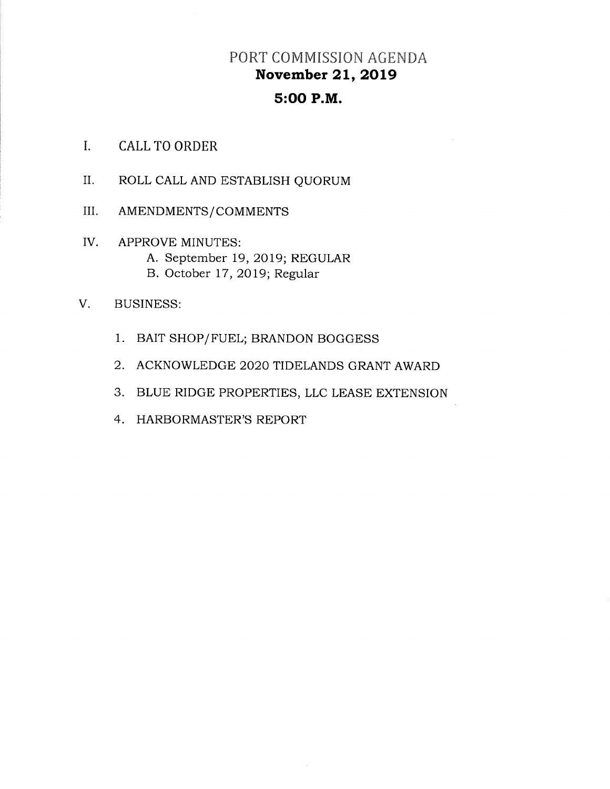# PORT COMMISSION AGENDA November 21, 2019

# 5:OO P.M.

- I. CALL TO ORDER
- il. ROLL CALL AND ESTABLISH QUORUM
- III AMENDMENTS/COMMENTS
- IV APPROVE MINUTES: A. September 19, 2019; REGULAR B. October 17, 2OI9; Regular
- V. BUSINESS:
	- 1. BAIT SHOP/FUEL; BRANDON BOGGESS
	- 2. ACKNOWLEDGE 2O2O TIDELANDS GRANT AWARD
	- 3. BLUE RIDGE PROPERTIES, LLC LEASE EXTENSION
	- 4, HARBORMASTER'S REPORT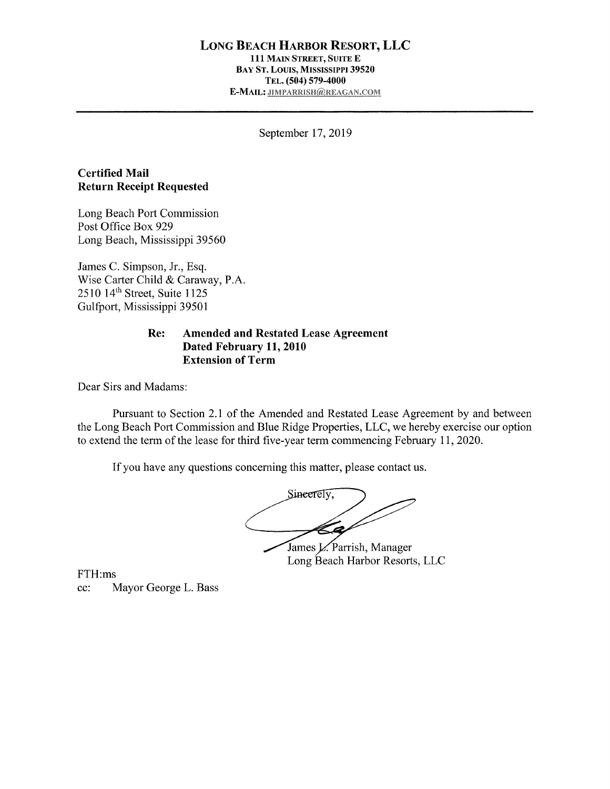#### LONG BEACH HARBOR RESORT, LLC 111 MAIN STREET, SUITE E BAY ST. LOUIS, MISSISSIPPI 39520 TEL. (504) 579-4000 E-MAIL: JIMPARRISH@REAGAN.COM

September 17,2019

### Certified Mail Return Receipt Requested

Long Beach Port Commission Post Office Box 929 Long Beach, Mississippi 39560

James C. Simpson, Jr., Esq. Wise Carter Child & Caraway, P.A. 2510 14<sup>th</sup> Street, Suite 1125 Gulfoort, Mississippi 39501

#### Re: Amended and Restated Lease Agreement Dated February 11,2010 Extension of Term

Dear Sirs and Madams

Pursuant to Section 2.1 of the Amended and Restated Lease Agreement by and between the Long Beach Port Commission and Blue Ridge Properties, LLC, we hereby exercise our option to extend the term of the lease for third five-year term commencing February 11, 2020.

If you have any questions concerning this matter, please contact us.

Sineerely, James L. Parrish, Manager Long Beach Harbor Resorts, LLC

FTH:ms

cc: Mayor George L. Bass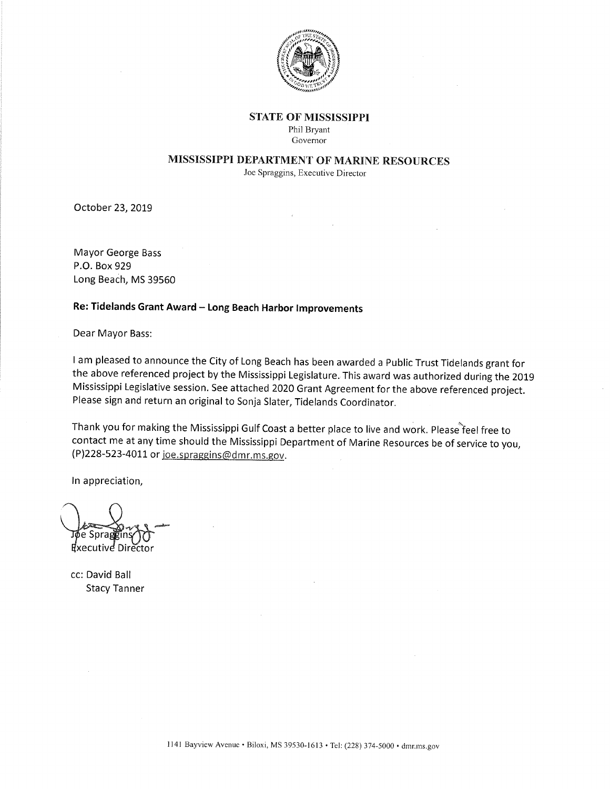

#### **STATE OF MISSISSIPPI**

Phil Bryant Governor

### MISSISSIPPI DEPARTMENT OF MARINE RESOURCES

Joe Spraggins, Executive Director

October 23, 2019

Mayor George Bass P.O. Box 929 Long Beach, MS 39560

### Re: Tidelands Grant Award - Long Beach Harbor Improvements

Dear Mayor Bass:

<sup>I</sup>am pleased to announce the City of Long Beach has been awarded a Public Trust Tidelands grant for the above referenced project by the Mississippi Legislature. This award was authorized during the <sup>2019</sup> Mississippi Legislative session. See attached 2o2O Grant Agreement for the above referenced project. Please sign and return an original to Sonja Slater, Tidelands Coordinator.

Thank you for making the Mississippi Gulf Coast a better place to live and work. Please feel free to contact me at any time should the Mississippi Department of Marine Resources be of service to you,  $(P)$ 228-523-4011 or joe.spraggins@dmr.ms.gov.

ln appreciation,

Sprai ชีxecutive Director

cc: David Ball Stacy Tanner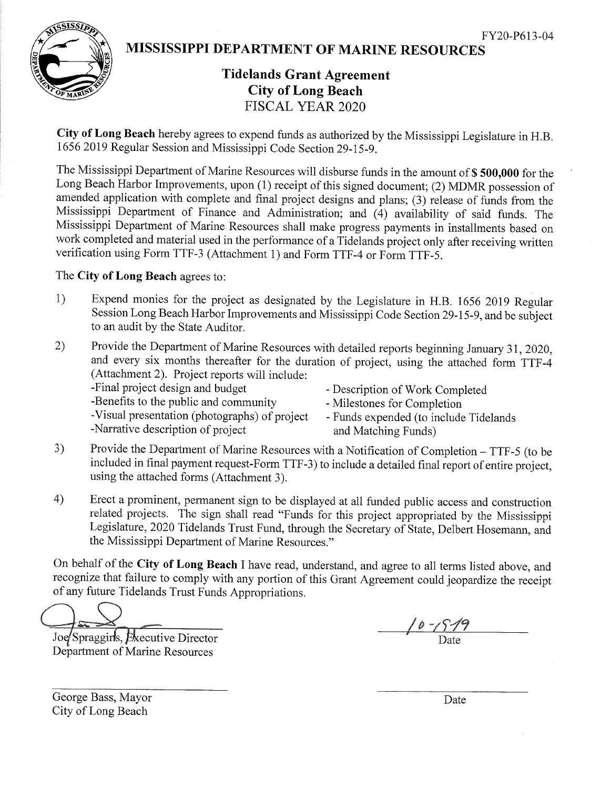

MISSISSIPPI DEPARTMENT OF MARINE RESOURCES

# Tidelands Grant Agreement City of Long Beach FISCAL YEAR 2O2O

City of Long Beach hereby agrees to expend funds as authorized by the Mississippi Legislature in H.B. 1656 2019 Regular Session and Mississippi Code Section 29-15-9.

The Mississippi Department of Marine Resources will disburse funds in the amount of \$500,000 for the Long Beach Harbor Improvements, upon (1) receipt of this signed document; (2) MDMR possession of amended application with complete and final project designs and plans; (3) release of funds from the Mississippi Department of Finance and Administration; and (4) availability of said funds. The Mississippi Department of Marine Resources shall make progress payments in installments based on work completed and material used in the performance of a Tidelands project only after receiving written verification using Form TTF-3 (Attachment l) and Form TTF-4 or Form TTF-5.

## The Cify of Long Beach agrees to:

- 1) Expend monies for the project as designated by the Legislature in H.B. 1656 2019 Regular Session Long Beach Harbor Improvements and Mississippi Code Section 29-15-9, and be subject to an audit by the State Auditor.
- 2) Provide the Department of Marine Resources with detailed reports beginning January 31,2020, and every six months thereafter for the duration of project, using the attached form TTF-4 (Attachment 2). Project reports will include:

-Benefits to the public and community<br>-Visual presentation (photographs) of project - Funds expended (to include

- Description of Work Completed
- 

- Funds expended (to include Tidelands -Narrative description of project and Matching Funds)

- 3) Provide the Department of Marine Resources with a Notification of Completion TTF-5 (to be included in final payment request-Form TTF-3) to include a detailed final report of entire project, using the attached forms (Attachment 3).
- 4) Erect a prominent, permanent sign to be displayed at all funded public access and construction related projects. The sign shall read "Funds for this project appropriated by the Mississippi Legislature,2020 Tidelands Trust Fund, through the Secretary of State, Delbert Hosemann, and the Mississippi Department of Marine Resources."

On behalf of the City of Long Beach I have read, understand, and agree to all terms listed above, and recognize that failure to comply with any portion of this Grant Agreement could jeopardize the receipt of any future Tidelands Trust Funds Appropriations.

Joe Spraggins, Executive Director Department of Marine Resources

 $\frac{10 - \sqrt{57}}{20}$ 

George Bass, Mayor City of Long Beach

Date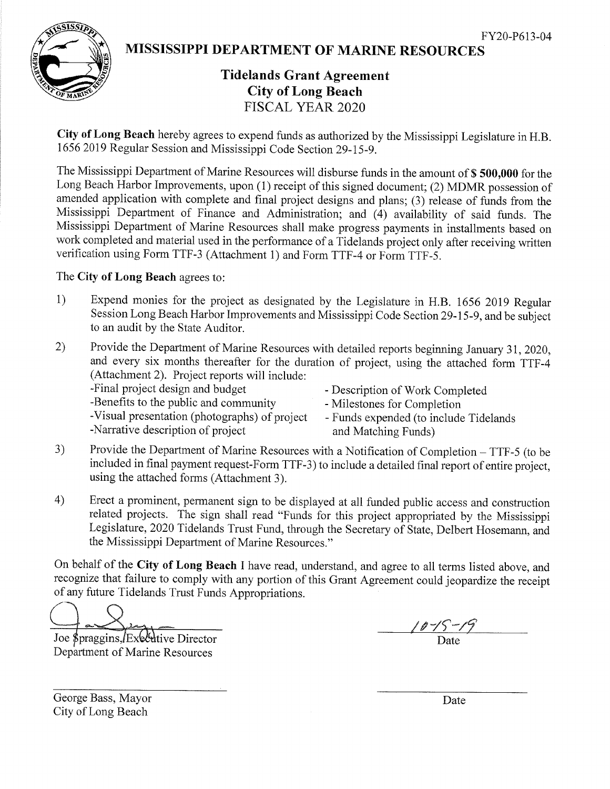

MISSISSIPPI DEPARTMENT OF MARINE RESOURCES

# Tidelands Grant Agreement City of Long Beach FISCAL YEAR 2O2O

City of Long Beach hereby agrees to expend funds as authorized by the Mississippi Legislature in H.B. 1656 2019 Regular Session and Mississippi Code Section 29-15-9.

The Mississippi Department of Marine Resources will disburse funds in the amount of \$ 500,000 for the Long Beach Harbor Improvements, upon (1) receipt of this signed document; (2) MDMR possession of amended application with complete and final project designs and plans; (3) release of funds from the Mississippi Department of Finance and Administration; and (4) availability of said funds. The Mississippi Department of Marine Resources shall make progress payments in installments based on work completed and material used in the performance of a Tidelands project only after receiving written verification using Form TTF-3 (Attachment 1) and Form TTF-4 or Form TTF-S.

### The City of Long Beach agrees to:

- 1) Expend monies for the project as designated by the Legislature in H.B. 1656 2019 Regular Session Long Beach Harbor Improvements and Mississippi Code Section 29-15-9, and be subject to an audit by the State Auditor.
- 2) Provide the Department of Marine Resources with detailed reports beginning January 31,2020, and every six months thereafter for the duration of project, using the attached form TTF-4 (Attachment 2). Project reports will include:

-Benefits to the public and community - Milestones for Completion -Visual presentation (photographs) of project - Funds expended (to include Tidelands

- Description of Work Completed
- 

-Narrative description of project and Matching Funds)

- 
- 3) Provide the Department of Marine Resources with a Notification of Completion TTF-5 (to be included in final payment request-Form TTF-3) to include a detailed final report of entire project, using the attached forms (Attachment 3).
- 4) Erect a prominent, permanent sign to be displayed at all funded public access and construction related projects. The sign shall read "Funds for this project appropriated by the Mississippi Legislature, 2020 Tidelands Trust Fund, through the Secretary of State, Delbert Hosemann, and the Mississippi Department of Marine Resources."

On behalf of the City of Long Beach I have read, understand, and agree to all terms listed above, and recognize that failure to comply with any portion of this Grant Agreement could jeopardize the receipt of any future Tidelands Trust Funds Appropriations.

Joe \$praggins, Executive Director Department of Marine Resources

George Bass, Mayor City of Long Beach

Date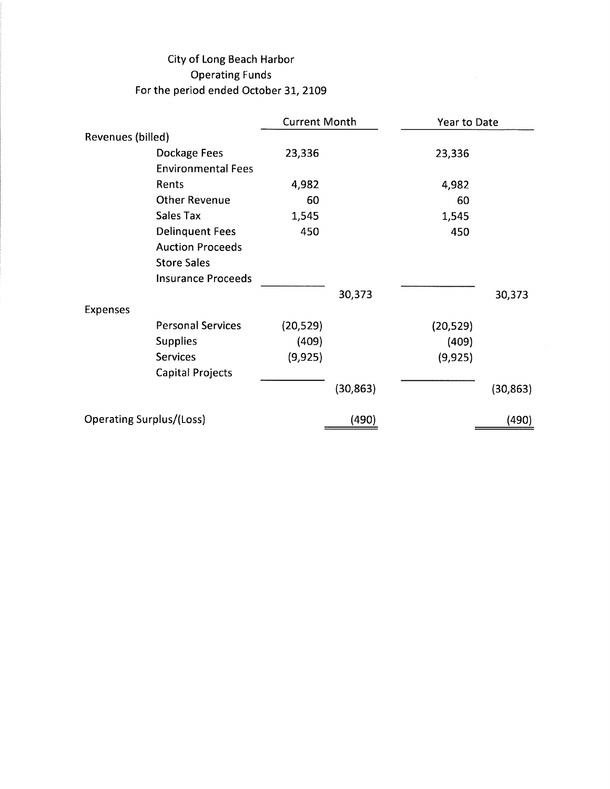# City of Long Beach Harbor Operating Funds For the period ended October 31, 2109

|                                 |                           | <b>Current Month</b> |           | Year to Date |           |  |
|---------------------------------|---------------------------|----------------------|-----------|--------------|-----------|--|
| Revenues (billed)               |                           |                      |           |              |           |  |
|                                 | Dockage Fees              | 23,336               |           | 23,336       |           |  |
|                                 | <b>Environmental Fees</b> |                      |           |              |           |  |
|                                 | Rents                     | 4,982                |           | 4,982        |           |  |
|                                 | <b>Other Revenue</b>      | 60                   |           | 60           |           |  |
|                                 | <b>Sales Tax</b>          | 1,545                |           | 1,545        |           |  |
|                                 | <b>Delinquent Fees</b>    | 450                  |           | 450          |           |  |
|                                 | <b>Auction Proceeds</b>   |                      |           |              |           |  |
|                                 | <b>Store Sales</b>        |                      |           |              |           |  |
|                                 | <b>Insurance Proceeds</b> |                      |           |              |           |  |
|                                 |                           |                      | 30,373    |              | 30,373    |  |
| <b>Expenses</b>                 |                           |                      |           |              |           |  |
|                                 | <b>Personal Services</b>  | (20, 529)            |           | (20, 529)    |           |  |
|                                 | <b>Supplies</b>           | (409)                |           | (409)        |           |  |
|                                 | <b>Services</b>           | (9, 925)             |           | (9, 925)     |           |  |
|                                 | <b>Capital Projects</b>   |                      |           |              |           |  |
|                                 |                           |                      | (30, 863) |              | (30, 863) |  |
| <b>Operating Surplus/(Loss)</b> |                           |                      | (490)     |              | (490)     |  |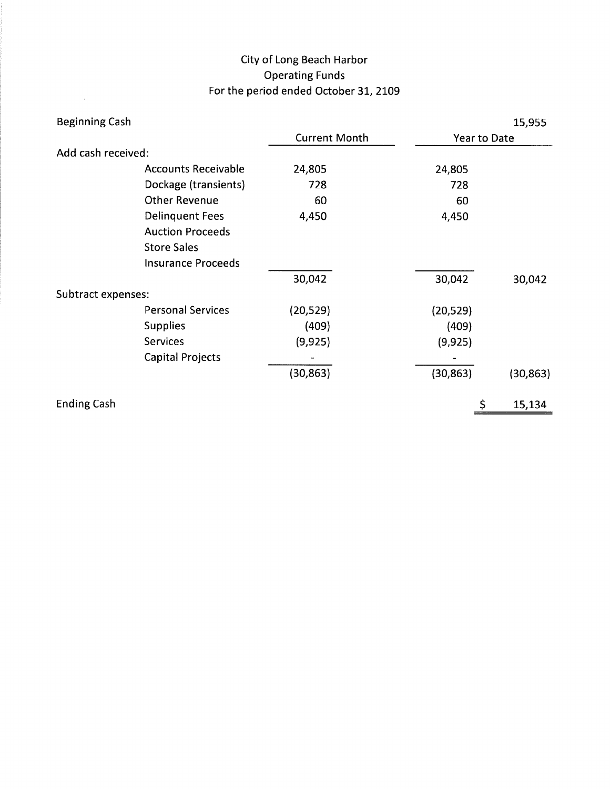# City of Long Beach Harbor Operating Funds For the period ended October 31, 2109

 $\mathcal{L}(\mathbf{z})$  and  $\mathcal{L}(\mathbf{z})$ 

| <b>Beginning Cash</b> |                            |                      |           | 15,955       |           |  |
|-----------------------|----------------------------|----------------------|-----------|--------------|-----------|--|
|                       |                            | <b>Current Month</b> |           | Year to Date |           |  |
| Add cash received:    |                            |                      |           |              |           |  |
|                       | <b>Accounts Receivable</b> | 24,805               | 24,805    |              |           |  |
|                       | Dockage (transients)       | 728                  | 728       |              |           |  |
|                       | <b>Other Revenue</b>       | 60                   | 60        |              |           |  |
|                       | <b>Delinquent Fees</b>     | 4,450                | 4,450     |              |           |  |
|                       | <b>Auction Proceeds</b>    |                      |           |              |           |  |
|                       | <b>Store Sales</b>         |                      |           |              |           |  |
|                       | <b>Insurance Proceeds</b>  |                      |           |              |           |  |
|                       |                            | 30,042               | 30,042    |              | 30,042    |  |
| Subtract expenses:    |                            |                      |           |              |           |  |
|                       | <b>Personal Services</b>   | (20, 529)            | (20, 529) |              |           |  |
|                       | <b>Supplies</b>            | (409)                | (409)     |              |           |  |
|                       | <b>Services</b>            | (9, 925)             | (9,925)   |              |           |  |
|                       | <b>Capital Projects</b>    |                      |           |              |           |  |
|                       |                            | (30, 863)            | (30, 863) |              | (30, 863) |  |
| <b>Ending Cash</b>    |                            |                      |           | \$           | 15,134    |  |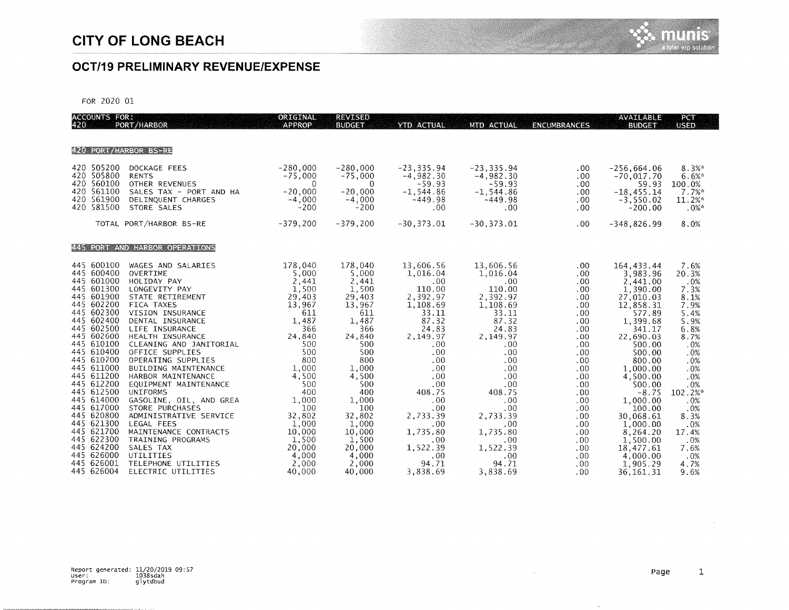## **OCT/19 PRELIMINARY REVENUE/EXPENSE**

FOR 2020 01

| ACCOUNTS FOR:<br>420 PORT                                                                                                                                                                                                    | PORT/HARBOR                                                                                                                                                                                                                                                                                                                      | ORIGINAL<br><b>APPROP</b>                                                                                                             | <b>REVISED</b><br><b>BUDGET</b>                                                                                                       | <b>YTD ACTUAL</b>                                                                                                                                    | MTD ACTUAL                                                                                                                                      | <b>ENCUMBRANCES</b>                                                                                                        | <b>AVAILABLE</b><br><b>BUDGET</b>                                                                                                                                                      | PCT<br><b>USED</b>                                                                                                     |
|------------------------------------------------------------------------------------------------------------------------------------------------------------------------------------------------------------------------------|----------------------------------------------------------------------------------------------------------------------------------------------------------------------------------------------------------------------------------------------------------------------------------------------------------------------------------|---------------------------------------------------------------------------------------------------------------------------------------|---------------------------------------------------------------------------------------------------------------------------------------|------------------------------------------------------------------------------------------------------------------------------------------------------|-------------------------------------------------------------------------------------------------------------------------------------------------|----------------------------------------------------------------------------------------------------------------------------|----------------------------------------------------------------------------------------------------------------------------------------------------------------------------------------|------------------------------------------------------------------------------------------------------------------------|
|                                                                                                                                                                                                                              |                                                                                                                                                                                                                                                                                                                                  |                                                                                                                                       |                                                                                                                                       |                                                                                                                                                      |                                                                                                                                                 |                                                                                                                            |                                                                                                                                                                                        |                                                                                                                        |
| <b>FZO FORT HANGOR ES RE</b>                                                                                                                                                                                                 |                                                                                                                                                                                                                                                                                                                                  |                                                                                                                                       |                                                                                                                                       |                                                                                                                                                      |                                                                                                                                                 |                                                                                                                            |                                                                                                                                                                                        |                                                                                                                        |
| 420 505200<br>420 505800<br>420 560100<br>420 561100<br>420 561900<br>420 581500                                                                                                                                             | DOCKAGE FEES<br><b>RENTS</b><br>OTHER REVENUES<br>SALES TAX - PORT AND HA<br>DELINQUENT CHARGES<br>STORE SALES                                                                                                                                                                                                                   | $-280,000$<br>$-75,000$<br>$\mathbf 0$<br>$-20,000$<br>$-4,000$<br>$-200$                                                             | $-280,000$<br>$-75,000$<br>0<br>$-20,000$<br>$-4,000$<br>$-200$                                                                       | $-23, 335.94$<br>$-4,982.30$<br>$-59.93$<br>$-1, 544.86$<br>$-449.98$<br>.00                                                                         | $-23, 335.94$<br>$-4,982.30$<br>$-59.93$<br>$-1, 544.86$<br>$-449.98$<br>.00                                                                    | .00<br>.00<br>.00<br>.00<br>.00<br>.00                                                                                     | $-256, 664.06$<br>$-70,017.70$<br>59.93<br>$-18, 455.14$<br>$-3,550.02$<br>$-200.00$                                                                                                   | $8.3%$ *<br>6.6%<br>100.0%<br>7.7%<br>11.2%<br>$.0%$ *                                                                 |
|                                                                                                                                                                                                                              | TOTAL PORT/HARBOR BS-RE                                                                                                                                                                                                                                                                                                          | $-379,200$                                                                                                                            | $-379,200$                                                                                                                            | $-30, 373.01$                                                                                                                                        | $-30, 373.01$                                                                                                                                   | .00                                                                                                                        | $-348.826.99$                                                                                                                                                                          | 8.0%                                                                                                                   |
|                                                                                                                                                                                                                              | <b>ALL TONI AND LIARROR OPERATIONS</b>                                                                                                                                                                                                                                                                                           |                                                                                                                                       |                                                                                                                                       |                                                                                                                                                      |                                                                                                                                                 |                                                                                                                            |                                                                                                                                                                                        |                                                                                                                        |
| 445 600100<br>445 600400<br>445 601000<br>445 601300<br>445 601900<br>445 602200<br>445 602300<br>445 602400<br>445 602500<br>445 602600<br>445 610100<br>445 610400<br>445 610700<br>445 611000<br>445 611200<br>445 612200 | WAGES AND SALARIES<br>OVERTIME<br>HOLIDAY PAY<br>LONGEVITY PAY<br>STATE RETIREMENT<br><b>FICA TAXES</b><br>VISION INSURANCE<br>DENTAL INSURANCE<br>LIFE INSURANCE<br>HEALTH INSURANCE<br>CLEANING AND JANITORIAL<br>OFFICE SUPPLIES<br>OPERATING SUPPLIES<br>BUILDING MAINTENANCE<br>HARBOR MAINTENANCE<br>EQUIPMENT MAINTENANCE | 178,040<br>5,000<br>2,441<br>1,500<br>29,403<br>13,967<br>611<br>1.487<br>366<br>24,840<br>500<br>500<br>800<br>1,000<br>4,500<br>500 | 178,040<br>5,000<br>2,441<br>1,500<br>29,403<br>13,967<br>611<br>1,487<br>366<br>24,840<br>500<br>500<br>800<br>1,000<br>4,500<br>500 | 13,606.56<br>1,016.04<br>.00.<br>110.00<br>2,392.97<br>1,108.69<br>33.11<br>87.32<br>24.83<br>2,149.97<br>.00.<br>.00.<br>.00.<br>.00.<br>.00<br>.00 | 13,606.56<br>1,016.04<br>.00<br>110.00<br>2,392.97<br>1,108.69<br>33.11<br>87.32<br>24.83<br>2,149.97<br>.00<br>.00<br>.00<br>.00<br>.00<br>.00 | .00<br>.00<br>.00<br>$.00 \,$<br>.00<br>.00.<br>.00.<br>.00.<br>.00<br>.00<br>.00<br>.00.<br>.00<br>$.00 \,$<br>.00<br>.00 | 164, 433.44<br>3,983.96<br>2,441.00<br>1,390:00<br>27,010.03<br>12,858.31<br>577.89<br>1,399.68<br>341.17<br>22,690.03<br>500.00<br>500.00<br>800,00<br>1,000.00<br>4,500.00<br>500.00 | 7.6%<br>20.3%<br>.0%<br>7.3%<br>8.1%<br>7.9%<br>5.4%<br>5.9%<br>6.8%<br>8.7%<br>.0%<br>.0%<br>.0%<br>.0%<br>.0%<br>.0% |
| 445 612500<br>445 614000<br>445 617000<br>445 620800<br>445 621300<br>445 621700<br>445 622300<br>445 624200<br>445 626000<br>445 626001<br>445 626004                                                                       | <b>UNIFORMS</b><br>GASOLINE, OIL, AND GREA<br>STORE PURCHASES<br>ADMINISTRATIVE SERVICE<br>LEGAL FEES<br>MAINTENANCE CONTRACTS<br>TRAINING PROGRAMS<br>SALES TAX<br>UTILITIES<br>TELEPHONE UTILITIES<br>ELECTRIC UTILITIES                                                                                                       | 400<br>1,000<br>100<br>32,802<br>1,000<br>10,000<br>1,500<br>20,000<br>4,000<br>2,000<br>40,000                                       | 400<br>1,000<br>100<br>32,802<br>1,000<br>10,000<br>1,500<br>20,000<br>4,000<br>2,000<br>40,000                                       | 408.75<br>.00<br>.00<br>2,733.39<br>.00<br>1,735.80<br>.00.<br>1,522.39<br>$.00 \,$<br>94.71<br>3.838.69                                             | 408.75<br>.00<br>.00<br>2,733.39<br>.00<br>1,735.80<br>.00.<br>1,522.39<br>.00.<br>94.71<br>3.838.69                                            | .00<br>$.00 \,$<br>.00.<br>.00.<br>.00.<br>.00<br>.00<br>.00<br>.00<br>.00<br>.00.                                         | $-8.75$<br>1,000.00<br>100.00<br>30,068.61<br>1,000.00<br>8,264.20<br>1,500.00<br>18,477.61<br>4,000.00<br>1,905.29<br>36.161.31                                                       | 102.2%*<br>.0%<br>.0%<br>8.3%<br>.0%<br>17.4%<br>.0%<br>7.6%<br>.0%<br>4.7%<br>9.6%                                    |

 $\hat{\rho}$ 

 $\cdot$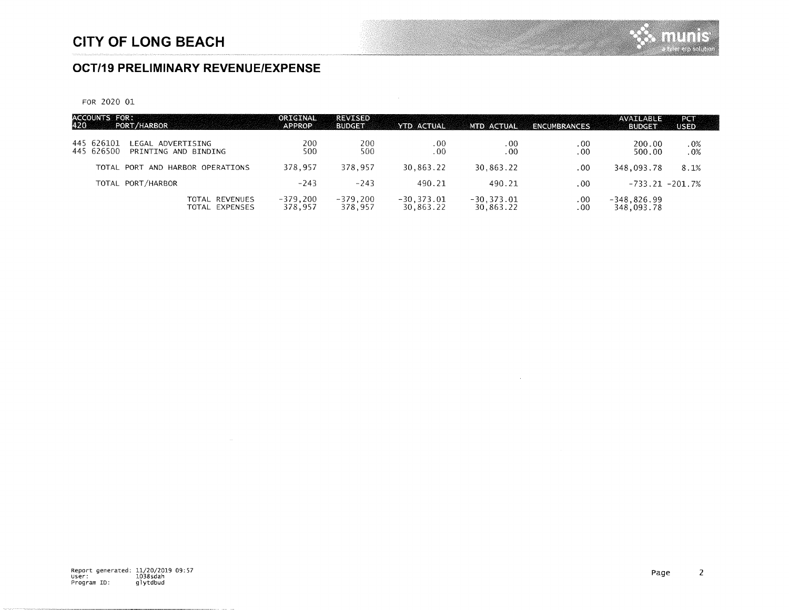## **OCT/19 PRELIMINARY REVENUE/EXPENSE**

FOR 2020 01

| ACCOUNTS FOR:<br>420 PORT/<br>PORT/HARBOR                             | ORIGINAL<br><b>APPROP</b> | <b>REVISED</b><br><b>BUDGET</b> | YTD ACTUAL                | MTD ACTUAL                 | <b>ENCUMBRANCES</b> | AVAILABLE<br><b>BUDGET</b>  | PCT<br><b>USED</b> |
|-----------------------------------------------------------------------|---------------------------|---------------------------------|---------------------------|----------------------------|---------------------|-----------------------------|--------------------|
| 445 626101<br>LEGAL ADVERTISING<br>445 626500<br>PRINTING AND BINDING | 200<br>500                | 200<br>500                      | .00<br>.00                | .00<br>.00.                | .00<br>$.00 \,$     | 200.00<br>500.00            | .0%<br>.0%         |
| TOTAL<br>AND HARBOR OPERATIONS<br>PORT                                | 378.957                   | 378,957                         | 30,863.22                 | 30.863.22                  | .00                 | 348,093.78                  | 8.1%               |
| TOTAL PORT/HARBOR                                                     | $-243$                    | $-243$                          | 490.21                    | 490.21                     | .00                 | $-733.21 - 201.7%$          |                    |
| TOTAL REVENUES<br>TOTAL EXPENSES                                      | $-379,200$<br>378,957     | $-379,200$<br>378,957           | $-30,373.01$<br>30,863,22 | $-30, 373.01$<br>30,863.22 | .00<br>.00.         | $-348,826.99$<br>348,093.78 |                    |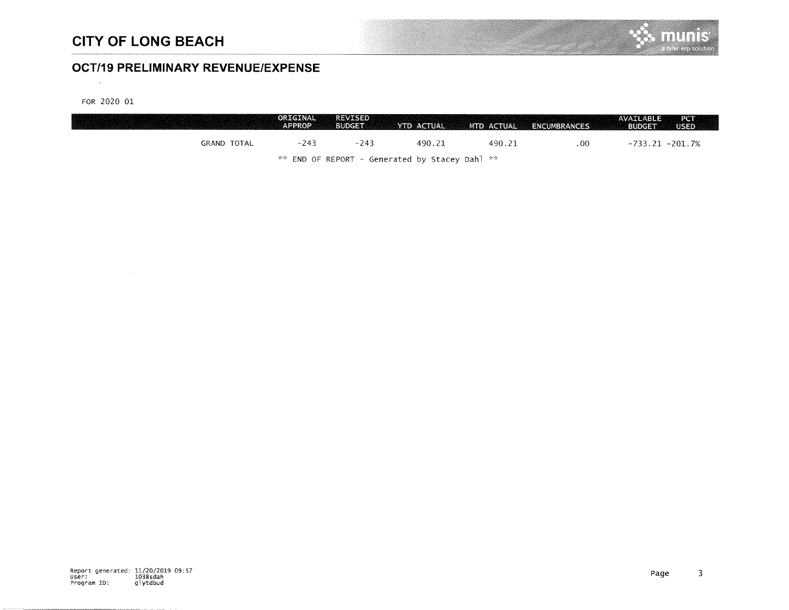## **OCT/19 PRELIMINARY REVENUE/EXPENSE**

FOR 2020 01

 $\sim 10^{-1}$ 

|                    | ORIGINAL<br><b>APPROP</b> | <b>REVISED</b><br><b>BUDGET</b> | YTD ACTUAL                                         | MTD ACTUAL | ENCUMBRANCES | PCT<br>AVAILABLE<br><b>BUDGET</b><br>USED. |
|--------------------|---------------------------|---------------------------------|----------------------------------------------------|------------|--------------|--------------------------------------------|
| <b>GRAND TOTAL</b> | $-243$                    | $-243$                          | 490.21                                             | 490.21     | .00.         | $-733.21 - 201.7%$                         |
|                    |                           |                                 | $**$ END OF REPORT - Generated by Stacey Dahl $**$ |            |              |                                            |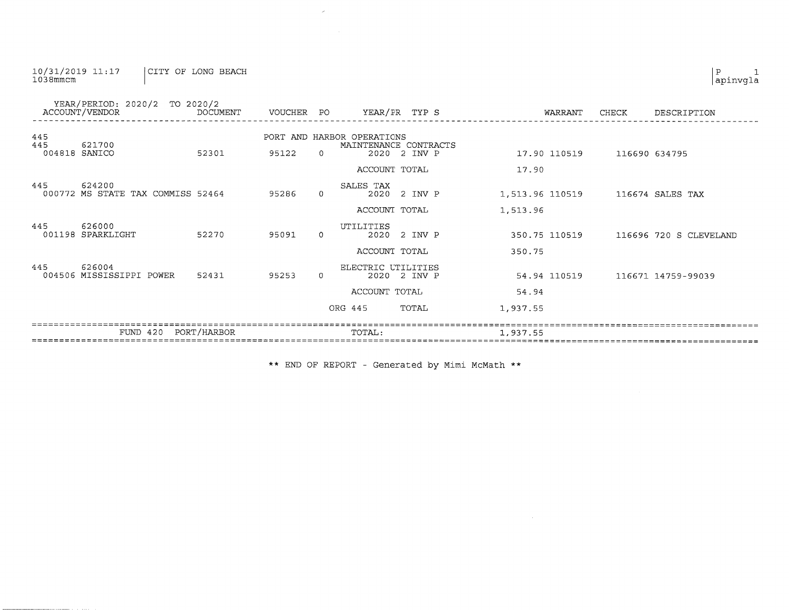#### 10/31/2019 11:17<br>1038mmcm CITY OF LONG BEACH

|                             | YEAR/PERIOD: 2020/2 TO 2020/2<br>ACCOUNT/VENDOR | DOCUMENT    | VOUCHER PO |          | YEAR/PR TYP S                                                       |         | WARRANT         | CHECK | DESCRIPTION            |
|-----------------------------|-------------------------------------------------|-------------|------------|----------|---------------------------------------------------------------------|---------|-----------------|-------|------------------------|
| 445<br>445<br>004818 SANICO | 621700                                          | 52301       | 95122      | $\Omega$ | PORT AND HARBOR OPERATIONS<br>MAINTENANCE CONTRACTS<br>2020 2 INV P |         | 17.90 110519    |       | 116690 634795          |
|                             |                                                 |             |            |          | ACCOUNT TOTAL                                                       |         | 17.90           |       |                        |
| 445                         | 624200<br>000772 MS STATE TAX COMMISS 52464     |             | 95286      | $\Omega$ | SALES TAX<br>2020                                                   | 2 INV P | 1,513.96 110519 |       | 116674 SALES TAX       |
|                             |                                                 |             |            |          | ACCOUNT TOTAL                                                       |         | 1,513.96        |       |                        |
| 445                         | 626000<br>001198 SPARKLIGHT                     | 52270       | 95091      | $\Omega$ | <b>UTILITIES</b><br>2020                                            | 2 INV P | 350.75 110519   |       | 116696 720 S CLEVELAND |
|                             |                                                 |             |            |          | ACCOUNT TOTAL                                                       |         | 350.75          |       |                        |
| 445                         | 626004<br>004506 MISSISSIPPI POWER              | 52431       | 95253      | $\Omega$ | ELECTRIC UTILITIES<br>2020 2 INV P                                  |         | 54.94 110519    |       | 116671 14759-99039     |
|                             |                                                 |             |            |          | ACCOUNT TOTAL                                                       |         | 54.94           |       |                        |
|                             |                                                 |             |            |          | ORG 445                                                             | TOTAL   | 1,937.55        |       |                        |
|                             | FUND 420                                        | PORT/HARBOR |            |          | TOTAL:                                                              |         | 1,937.55        |       |                        |

 $\mathcal{L}$ 

 $\sim 10^{11}$ 

\*\* END OF REPORT - Generated by Mimi McMath \*\*

 $\left| \begin{smallmatrix} P & 1 \\ {\tt a pinvgla} \end{smallmatrix} \right.$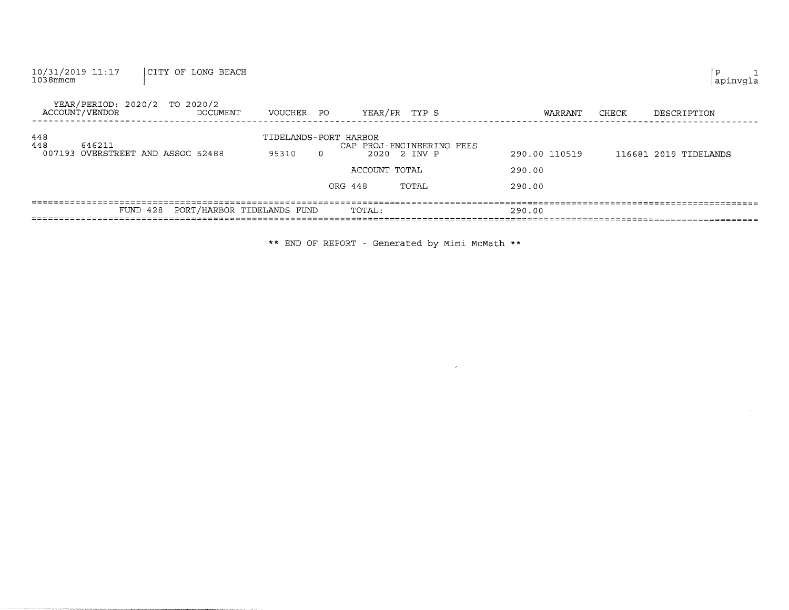| 10/31/2019 11:17<br>CITY OF LONG BEACH<br>$1038$ mmcm       |                                            |                                                                                |                                   | Ρ<br>apinvqla         |
|-------------------------------------------------------------|--------------------------------------------|--------------------------------------------------------------------------------|-----------------------------------|-----------------------|
| YEAR/PERIOD: 2020/2 TO 2020/2<br>ACCOUNT/VENDOR<br>DOCUMENT | VOUCHER PO                                 | YEAR/PR TYP S                                                                  | WARRANT                           | CHECK<br>DESCRIPTION  |
| 448<br>448<br>646211<br>007193 OVERSTREET AND ASSOC 52488   | TIDELANDS-PORT HARBOR<br>95310<br>$\Omega$ | CAP PROJ-ENGINEERING FEES<br>2020 2 INV P<br>ACCOUNT TOTAL<br>ORG 448<br>TOTAL | 290.00 110519<br>290.00<br>290.00 | 116681 2019 TIDELANDS |
| FUND 428                                                    | PORT/HARBOR TIDELANDS FUND                 | TOTAL:                                                                         | 290.00                            |                       |

\*\* END OF REPORT - cenerated by Miml McMath \*\*

 $\label{eq:2.1} \mathcal{F}(\mathcal{F}) = \mathcal{F}(\mathcal{F}) \mathcal{F}(\mathcal{F}) = \mathcal{F}(\mathcal{F}) \mathcal{F}(\mathcal{F})$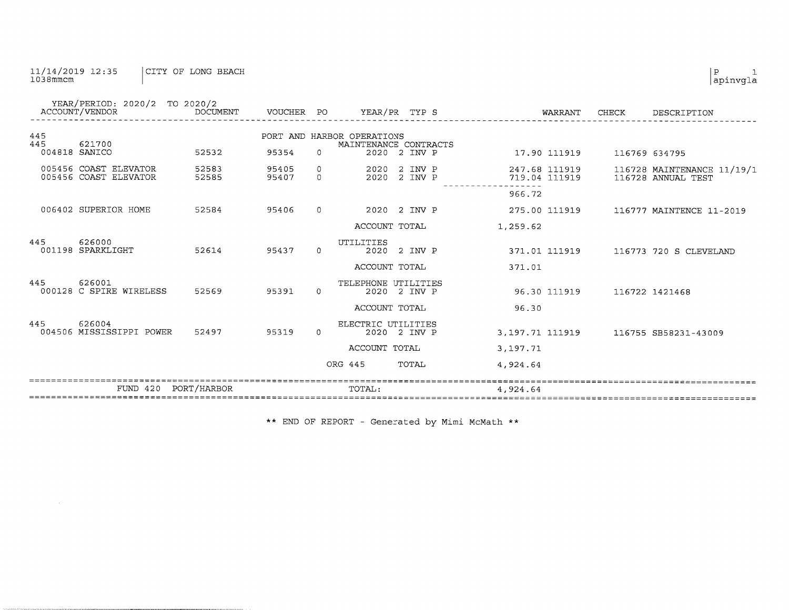### 11/14/2019 12:35 CITY OF LONG BEACH

|            | YEAR/PERIOD: 2020/2 TO 2020/2<br>ACCOUNT/VENDOR | DOCUMENT       | VOUCHER PO     |                          | YEAR/PR TYP S                                       |                    |                  | WARRANT                        | CHECK         | DESCRIPTION                                      |
|------------|-------------------------------------------------|----------------|----------------|--------------------------|-----------------------------------------------------|--------------------|------------------|--------------------------------|---------------|--------------------------------------------------|
| 445<br>445 | 621700                                          |                |                |                          | PORT AND HARBOR OPERATIONS<br>MAINTENANCE CONTRACTS |                    |                  |                                |               |                                                  |
|            | 004818 SANICO                                   | 52532          | 95354          | $\Omega$                 |                                                     | 2020 2 INV P       |                  | 17.90 111919                   | 116769 634795 |                                                  |
|            | 005456 COAST ELEVATOR<br>005456 COAST ELEVATOR  | 52583<br>52585 | 95405<br>95407 | $\mathbf{0}$<br>$\Omega$ | 2020<br>2020                                        | 2 INV P<br>2 INV P |                  | 247.68 111919<br>719.04 111919 |               | 116728 MAINTENANCE 11/19/1<br>116728 ANNUAL TEST |
|            |                                                 |                |                |                          |                                                     |                    | 966.72           |                                |               |                                                  |
|            | 006402 SUPERIOR HOME                            | 52584          | 95406          | $\Omega$                 | 2020                                                | 2 INV P            |                  | 275.00 111919                  |               | 116777 MAINTENCE 11-2019                         |
|            |                                                 |                |                |                          | ACCOUNT TOTAL                                       |                    | 1,259.62         |                                |               |                                                  |
| 445        | 626000<br>001198 SPARKLIGHT                     | 52614          | 95437          | $\Omega$                 | UTILITIES<br>2020                                   | 2 INV P            |                  | 371.01 111919                  |               | 116773 720 S CLEVELAND                           |
|            |                                                 |                |                |                          | ACCOUNT TOTAL                                       |                    | 371.01           |                                |               |                                                  |
| 445        | 626001<br>000128 C SPIRE WIRELESS               | 52569          | 95391          | $\Omega$                 | TELEPHONE UTILITIES                                 | 2020 2 INV P       |                  | 96.30 111919                   |               | 116722 1421468                                   |
|            |                                                 |                |                |                          | ACCOUNT TOTAL                                       |                    | 96.30            |                                |               |                                                  |
| 445        | 626004<br>004506 MISSISSIPPI POWER              | 52497          | 95319          | $\Omega$                 | ELECTRIC UTILITIES                                  | 2020 2 INV P       | 3, 197.71 111919 |                                |               | 116755 SB58231-43009                             |
|            |                                                 |                |                |                          | ACCOUNT TOTAL                                       |                    | 3,197.71         |                                |               |                                                  |
|            |                                                 |                |                |                          | ORG 445                                             | TOTAL              | 4,924.64         |                                |               |                                                  |
|            | $FUND$ 420                                      | PORT/HARBOR    |                |                          | TOTAL:                                              |                    | 4,924.64         |                                |               |                                                  |

\*\* END OF REPORT - Generated by Mimi McMath \*\*

 $\left| \begin{smallmatrix} p & 1 \\ {\tt a pinvgla} \end{smallmatrix} \right.$